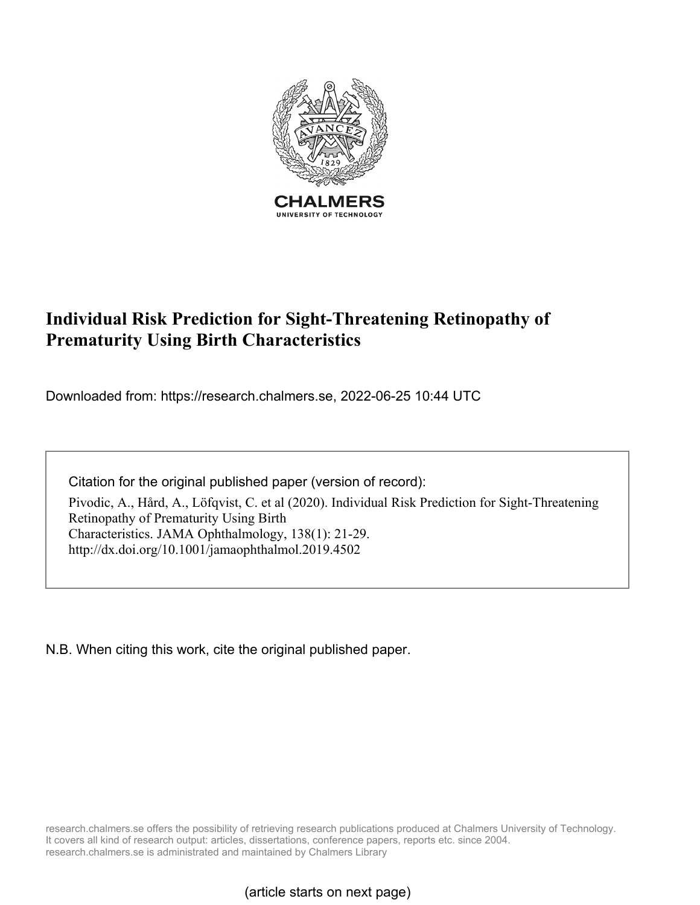

# **Individual Risk Prediction for Sight-Threatening Retinopathy of Prematurity Using Birth Characteristics**

Downloaded from: https://research.chalmers.se, 2022-06-25 10:44 UTC

Citation for the original published paper (version of record):

Pivodic, A., Hård, A., Löfqvist, C. et al (2020). Individual Risk Prediction for Sight-Threatening Retinopathy of Prematurity Using Birth Characteristics. JAMA Ophthalmology, 138(1): 21-29. http://dx.doi.org/10.1001/jamaophthalmol.2019.4502

N.B. When citing this work, cite the original published paper.

research.chalmers.se offers the possibility of retrieving research publications produced at Chalmers University of Technology. It covers all kind of research output: articles, dissertations, conference papers, reports etc. since 2004. research.chalmers.se is administrated and maintained by Chalmers Library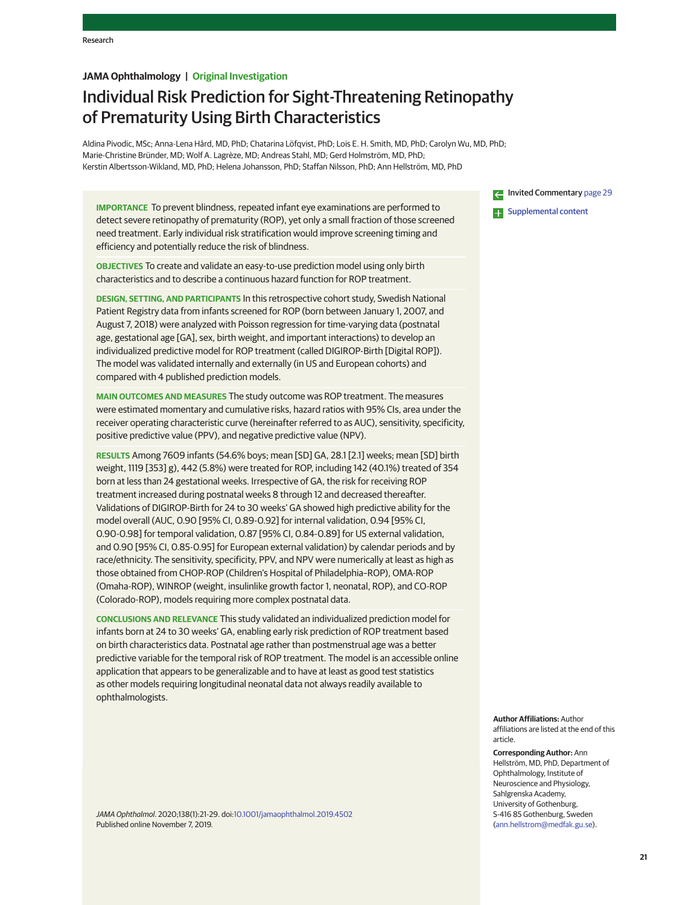# **JAMA Ophthalmology | Original Investigation**

# Individual Risk Prediction for Sight-Threatening Retinopathy of Prematurity Using Birth Characteristics

Aldina Pivodic, MSc; Anna-Lena Hård, MD, PhD; Chatarina Löfqvist, PhD; Lois E. H. Smith, MD, PhD; Carolyn Wu, MD, PhD; Marie-Christine Bründer, MD; Wolf A. Lagrèze, MD; Andreas Stahl, MD; Gerd Holmström, MD, PhD; Kerstin Albertsson-Wikland, MD, PhD; Helena Johansson, PhD; Staffan Nilsson, PhD; Ann Hellström, MD, PhD

**IMPORTANCE** To prevent blindness, repeated infant eye examinations are performed to detect severe retinopathy of prematurity (ROP), yet only a small fraction of those screened need treatment. Early individual risk stratification would improve screening timing and efficiency and potentially reduce the risk of blindness.

**OBJECTIVES** To create and validate an easy-to-use prediction model using only birth characteristics and to describe a continuous hazard function for ROP treatment.

**DESIGN, SETTING, AND PARTICIPANTS** In this retrospective cohort study, Swedish National Patient Registry data from infants screened for ROP (born between January 1, 2007, and August 7, 2018) were analyzed with Poisson regression for time-varying data (postnatal age, gestational age [GA], sex, birth weight, and important interactions) to develop an individualized predictive model for ROP treatment (called DIGIROP-Birth [Digital ROP]). The model was validated internally and externally (in US and European cohorts) and compared with 4 published prediction models.

**MAIN OUTCOMES AND MEASURES** The study outcome was ROP treatment. The measures were estimated momentary and cumulative risks, hazard ratios with 95% CIs, area under the receiver operating characteristic curve (hereinafter referred to as AUC), sensitivity, specificity, positive predictive value (PPV), and negative predictive value (NPV).

**RESULTS** Among 7609 infants (54.6% boys; mean [SD] GA, 28.1 [2.1] weeks; mean [SD] birth weight, 1119 [353] g), 442 (5.8%) were treated for ROP, including 142 (40.1%) treated of 354 born at less than 24 gestational weeks. Irrespective of GA, the risk for receiving ROP treatment increased during postnatal weeks 8 through 12 and decreased thereafter. Validations of DIGIROP-Birth for 24 to 30 weeks' GA showed high predictive ability for the model overall (AUC, 0.90 [95% CI, 0.89-0.92] for internal validation, 0.94 [95% CI, 0.90-0.98] for temporal validation, 0.87 [95% CI, 0.84-0.89] for US external validation, and 0.90 [95% CI, 0.85-0.95] for European external validation) by calendar periods and by race/ethnicity. The sensitivity, specificity, PPV, and NPV were numerically at least as high as those obtained from CHOP-ROP (Children's Hospital of Philadelphia–ROP), OMA-ROP (Omaha-ROP), WINROP (weight, insulinlike growth factor 1, neonatal, ROP), and CO-ROP (Colorado-ROP), models requiring more complex postnatal data.

**CONCLUSIONS AND RELEVANCE** This study validated an individualized prediction model for infants born at 24 to 30 weeks' GA, enabling early risk prediction of ROP treatment based on birth characteristics data. Postnatal age rather than postmenstrual age was a better predictive variable for the temporal risk of ROP treatment. The model is an accessible online application that appears to be generalizable and to have at least as good test statistics as other models requiring longitudinal neonatal data not always readily available to ophthalmologists.

JAMA Ophthalmol. 2020;138(1):21-29. doi[:10.1001/jamaophthalmol.2019.4502](https://jamanetwork.com/journals/jama/fullarticle/10.1001/jamaophthalmol.2019.4502?utm_campaign=articlePDF%26utm_medium=articlePDFlink%26utm_source=articlePDF%26utm_content=jamaophthalmol.2019.4502) Published online November 7, 2019.

Invited Commentary [page 29](https://jamanetwork.com/journals/jama/fullarticle/10.1001/jamaophthalmol.2019.4608?utm_campaign=articlePDF%26utm_medium=articlePDFlink%26utm_source=articlePDF%26utm_content=jamaophthalmol.2019.4502) **Examplemental content** 

**Author Affiliations:** Author affiliations are listed at the end of this article.

**Corresponding Author:** Ann Hellström, MD, PhD, Department of Ophthalmology, Institute of Neuroscience and Physiology, Sahlgrenska Academy, University of Gothenburg, S-416 85 Gothenburg, Sweden [\(ann.hellstrom@medfak.gu.se\)](mailto:ann.hellstrom@medfak.gu.se).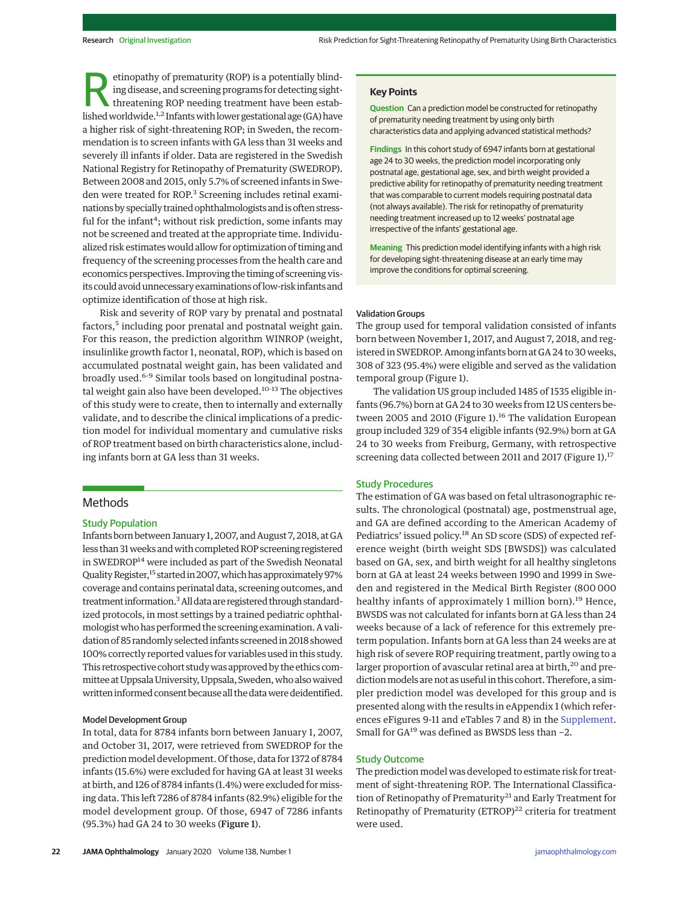etinopathy of prematurity (ROP) is a potentially blind-<br>ing disease, and screening programs for detecting sight-<br>threatening ROP needing treatment have been estab-<br>lished worldwide <sup>1,2</sup> Infants with lower gestational 300 ing disease, and screening programs for detecting sightlished worldwide.<sup>1,2</sup> Infants with lower gestational age (GA) have a higher risk of sight-threatening ROP; in Sweden, the recommendation is to screen infants with GA less than 31 weeks and severely ill infants if older. Data are registered in the Swedish National Registry for Retinopathy of Prematurity (SWEDROP). Between 2008 and 2015, only 5.7% of screened infants in Sweden were treated for ROP.<sup>3</sup> Screening includes retinal examinations by specially trained ophthalmologists and is often stressful for the infant<sup>4</sup>; without risk prediction, some infants may not be screened and treated at the appropriate time. Individualized risk estimateswould allow for optimization of timing and frequency of the screening processes from the health care and economics perspectives. Improving the timing of screening visits could avoidunnecessary examinations of low-risk infants and optimize identification of those at high risk.

Risk and severity of ROP vary by prenatal and postnatal factors,<sup>5</sup> including poor prenatal and postnatal weight gain. For this reason, the prediction algorithm WINROP (weight, insulinlike growth factor 1, neonatal, ROP), which is based on accumulated postnatal weight gain, has been validated and broadly used.6-9 Similar tools based on longitudinal postnatal weight gain also have been developed.<sup>10-13</sup> The objectives of this study were to create, then to internally and externally validate, and to describe the clinical implications of a prediction model for individual momentary and cumulative risks of ROP treatment based on birth characteristics alone, including infants born at GA less than 31 weeks.

# Methods

## Study Population

Infants born between January 1, 2007, and August 7, 2018, at GA less than 31 weeks and with completed ROP screening registered in SWEDROP<sup>14</sup> were included as part of the Swedish Neonatal Quality Register,<sup>15</sup> started in 2007, which has approximately 97% coverage and contains perinatal data, screening outcomes, and treatment information.<sup>3</sup> All data are registered through standardized protocols, in most settings by a trained pediatric ophthalmologist who has performed the screening examination. A validation of 85 randomly selected infants screened in 2018 showed 100% correctly reported values for variables used in this study. This retrospective cohort study was approved by the ethics committee at Uppsala University, Uppsala, Sweden, who also waived written informed consent because all the data were deidentified.

#### Model Development Group

In total, data for 8784 infants born between January 1, 2007, and October 31, 2017, were retrieved from SWEDROP for the prediction model development. Of those, data for 1372 of 8784 infants (15.6%) were excluded for having GA at least 31 weeks at birth, and 126 of 8784 infants (1.4%) were excluded for missing data. This left 7286 of 8784 infants (82.9%) eligible for the model development group. Of those, 6947 of 7286 infants (95.3%) had GA 24 to 30 weeks (Figure 1).

**Question** Can a prediction model be constructed for retinopathy of prematurity needing treatment by using only birth characteristics data and applying advanced statistical methods?

**Findings** In this cohort study of 6947 infants born at gestational age 24 to 30 weeks, the prediction model incorporating only postnatal age, gestational age, sex, and birth weight provided a predictive ability for retinopathy of prematurity needing treatment that was comparable to current models requiring postnatal data (not always available). The risk for retinopathy of prematurity needing treatment increased up to 12 weeks' postnatal age irrespective of the infants' gestational age.

**Meaning** This prediction model identifying infants with a high risk for developing sight-threatening disease at an early time may improve the conditions for optimal screening.

#### Validation Groups

The group used for temporal validation consisted of infants born between November 1, 2017, and August 7, 2018, and registered in SWEDROP. Among infants born at GA 24 to 30 weeks, 308 of 323 (95.4%) were eligible and served as the validation temporal group (Figure 1).

The validation US group included 1485 of 1535 eligible infants (96.7%) born at GA 24 to 30 weeks from 12 US centers between 2005 and 2010 (Figure 1).<sup>16</sup> The validation European group included 329 of 354 eligible infants (92.9%) born at GA 24 to 30 weeks from Freiburg, Germany, with retrospective screening data collected between 2011 and 2017 (Figure 1).<sup>17</sup>

#### Study Procedures

The estimation of GA was based on fetal ultrasonographic results. The chronological (postnatal) age, postmenstrual age, and GA are defined according to the American Academy of Pediatrics' issued policy.<sup>18</sup> An SD score (SDS) of expected reference weight (birth weight SDS [BWSDS]) was calculated based on GA, sex, and birth weight for all healthy singletons born at GA at least 24 weeks between 1990 and 1999 in Sweden and registered in the Medical Birth Register (800 000 healthy infants of approximately 1 million born).<sup>19</sup> Hence, BWSDS was not calculated for infants born at GA less than 24 weeks because of a lack of reference for this extremely preterm population. Infants born at GA less than 24 weeks are at high risk of severe ROP requiring treatment, partly owing to a larger proportion of avascular retinal area at birth,<sup>20</sup> and prediction models are not as useful in this cohort. Therefore, a simpler prediction model was developed for this group and is presented along with the results in eAppendix 1 (which references eFigures 9-11 and eTables 7 and 8) in the [Supplement.](https://jamanetwork.com/journals/jama/fullarticle/10.1001/jamaophthalmol.2019.4502?utm_campaign=articlePDF%26utm_medium=articlePDFlink%26utm_source=articlePDF%26utm_content=jamaophthalmol.2019.4502) Small for GA<sup>19</sup> was defined as BWSDS less than −2.

#### Study Outcome

The prediction model was developed to estimate risk for treatment of sight-threatening ROP. The International Classification of Retinopathy of Prematurity<sup>21</sup> and Early Treatment for Retinopathy of Prematurity (ETROP)<sup>22</sup> criteria for treatment were used.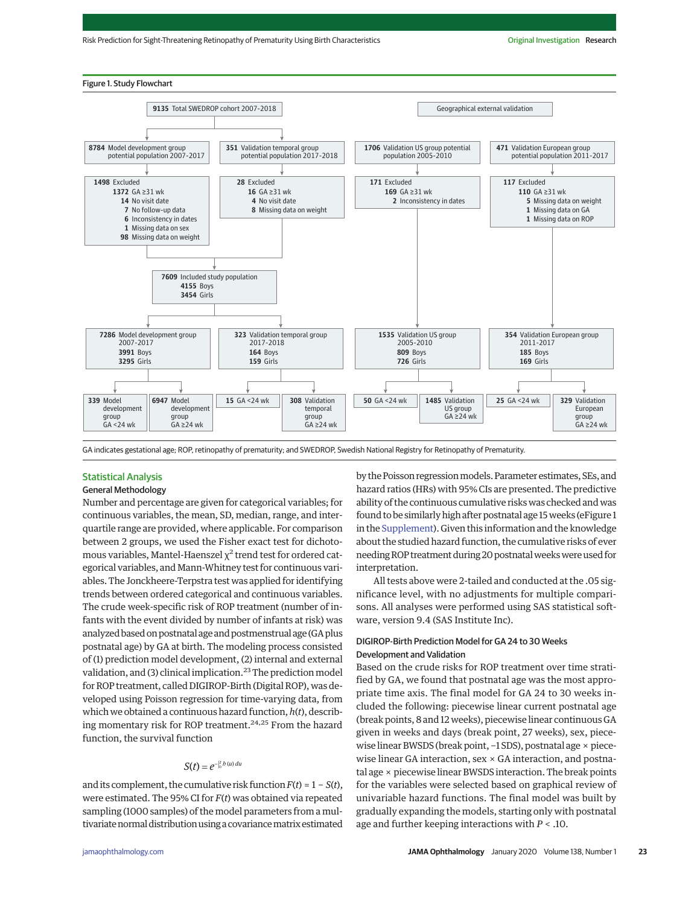

GA indicates gestational age; ROP, retinopathy of prematurity; and SWEDROP, Swedish National Registry for Retinopathy of Prematurity.

# Statistical Analysis

# General Methodology

Number and percentage are given for categorical variables; for continuous variables, the mean, SD, median, range, and interquartile range are provided, where applicable. For comparison between 2 groups, we used the Fisher exact test for dichotomous variables, Mantel-Haenszel χ<sup>2</sup> trend test for ordered categorical variables, and Mann-Whitney test for continuous variables. The Jonckheere-Terpstra test was applied for identifying trends between ordered categorical and continuous variables. The crude week-specific risk of ROP treatment (number of infants with the event divided by number of infants at risk) was analyzed based on postnatal age and postmenstrual age (GA plus postnatal age) by GA at birth. The modeling process consisted of (1) prediction model development, (2) internal and external validation, and (3) clinical implication.<sup>23</sup> The prediction model for ROP treatment, called DIGIROP-Birth (Digital ROP), was developed using Poisson regression for time-varying data, from which we obtained a continuous hazard function,*h*(*t*), describing momentary risk for ROP treatment.24,25 From the hazard function, the survival function

# $S(t) = e^{-\int_0^t b(u) du}$

and its complement, the cumulative risk function  $F(t) = 1 - S(t)$ , were estimated. The 95% CI for *F*(*t*) was obtained via repeated sampling (1000 samples) of the model parameters from a multivariate normal distribution using a covariance matrix estimated

by the Poisson regression models. Parameter estimates, SEs, and hazard ratios (HRs) with 95% CIs are presented. The predictive ability of the continuous cumulative risks was checked and was found to be similarly high after postnatal age 15weeks (eFigure 1 in the [Supplement\)](https://jamanetwork.com/journals/jama/fullarticle/10.1001/jamaophthalmol.2019.4502?utm_campaign=articlePDF%26utm_medium=articlePDFlink%26utm_source=articlePDF%26utm_content=jamaophthalmol.2019.4502). Given this information and the knowledge about the studied hazard function, the cumulative risks of ever needing ROP treatment during 20 postnatal weeks were used for interpretation.

All tests above were 2-tailed and conducted at the .05 significance level, with no adjustments for multiple comparisons. All analyses were performed using SAS statistical software, version 9.4 (SAS Institute Inc).

# DIGIROP-Birth Prediction Model for GA 24 to 30 Weeks Development and Validation

Based on the crude risks for ROP treatment over time stratified by GA, we found that postnatal age was the most appropriate time axis. The final model for GA 24 to 30 weeks included the following: piecewise linear current postnatal age (break points, 8 and 12 weeks), piecewise linear continuous GA given in weeks and days (break point, 27 weeks), sex, piecewise linear BWSDS (break point, −1 SDS), postnatal age × piecewise linear GA interaction, sex  $\times$  GA interaction, and postnatal age × piecewise linear BWSDS interaction. The break points for the variables were selected based on graphical review of univariable hazard functions. The final model was built by gradually expanding the models, starting only with postnatal age and further keeping interactions with *P* < .10.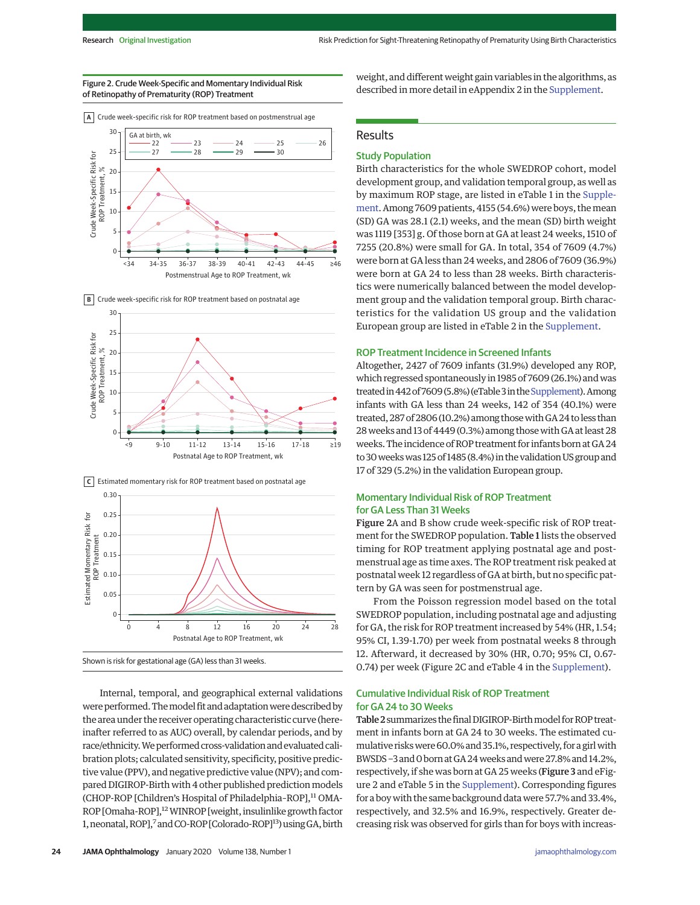#### Figure 2. Crude Week-Specific and Momentary Individual Risk of Retinopathy of Prematurity (ROP) Treatment





**B** Crude week-specific risk for ROP treatment based on postnatal age



**C** Estimated momentary risk for ROP treatment based on postnatal age



Internal, temporal, and geographical external validations were performed. The model fit and adaptation were described by the area under the receiver operating characteristic curve (hereinafter referred to as AUC) overall, by calendar periods, and by race/ethnicity. We performed cross-validation and evaluated calibration plots; calculated sensitivity, specificity, positive predictive value (PPV), and negative predictive value (NPV); and compared DIGIROP-Birth with 4 other published prediction models (CHOP-ROP [Children's Hospital of Philadelphia-ROP],<sup>11</sup> OMA-ROP [Omaha-ROP],<sup>12</sup> WINROP [weight, insulinlike growth factor 1, neonatal, ROP],<sup>7</sup> and CO-ROP [Colorado-ROP]<sup>13</sup>) using GA, birth

weight, and different weight gain variables in the algorithms, as described in more detail in eAppendix 2 in the [Supplement.](https://jamanetwork.com/journals/jama/fullarticle/10.1001/jamaophthalmol.2019.4502?utm_campaign=articlePDF%26utm_medium=articlePDFlink%26utm_source=articlePDF%26utm_content=jamaophthalmol.2019.4502)

# Results

## Study Population

Birth characteristics for the whole SWEDROP cohort, model development group, and validation temporal group, as well as by maximum ROP stage, are listed in eTable 1 in the [Supple](https://jamanetwork.com/journals/jama/fullarticle/10.1001/jamaophthalmol.2019.4502?utm_campaign=articlePDF%26utm_medium=articlePDFlink%26utm_source=articlePDF%26utm_content=jamaophthalmol.2019.4502)[ment.](https://jamanetwork.com/journals/jama/fullarticle/10.1001/jamaophthalmol.2019.4502?utm_campaign=articlePDF%26utm_medium=articlePDFlink%26utm_source=articlePDF%26utm_content=jamaophthalmol.2019.4502) Among 7609 patients, 4155 (54.6%) were boys, themean (SD) GA was 28.1 (2.1) weeks, and the mean (SD) birth weight was 1119 [353] g. Of those born at GA at least 24 weeks, 1510 of 7255 (20.8%) were small for GA. In total, 354 of 7609 (4.7%) were born at GA less than 24 weeks, and 2806 of 7609 (36.9%) were born at GA 24 to less than 28 weeks. Birth characteristics were numerically balanced between the model development group and the validation temporal group. Birth characteristics for the validation US group and the validation European group are listed in eTable 2 in the [Supplement.](https://jamanetwork.com/journals/jama/fullarticle/10.1001/jamaophthalmol.2019.4502?utm_campaign=articlePDF%26utm_medium=articlePDFlink%26utm_source=articlePDF%26utm_content=jamaophthalmol.2019.4502)

### ROP Treatment Incidence in Screened Infants

Altogether, 2427 of 7609 infants (31.9%) developed any ROP, which regressed spontaneously in 1985 of 7609 (26.1%) andwas treated in 442 of 7609 (5.8%) (eTable 3 in the Supplement). Among infants with GA less than 24 weeks, 142 of 354 (40.1%) were treated, 287 of 2806 (10.2%) among thosewith GA 24 to less than 28 weeks and 13 of 4449 (0.3%) among those with GA at least 28 weeks. The incidence ofROP treatment for infants born at GA 24 to 30weekswas 125 of 1485 (8.4%) in the validation US group and 17 of 329 (5.2%) in the validation European group.

# Momentary Individual Risk of ROP Treatment for GA Less Than 31 Weeks

Figure 2A and B show crude week-specific risk of ROP treatment for the SWEDROP population. Table 1 lists the observed timing for ROP treatment applying postnatal age and postmenstrual age as time axes. The ROP treatment risk peaked at postnatal week 12 regardless of GA at birth, but no specific pattern by GA was seen for postmenstrual age.

From the Poisson regression model based on the total SWEDROP population, including postnatal age and adjusting for GA, the risk for ROP treatment increased by 54% (HR, 1.54; 95% CI, 1.39-1.70) per week from postnatal weeks 8 through 12. Afterward, it decreased by 30% (HR, 0.70; 95% CI, 0.67- 0.74) per week (Figure 2C and eTable 4 in the [Supplement\)](https://jamanetwork.com/journals/jama/fullarticle/10.1001/jamaophthalmol.2019.4502?utm_campaign=articlePDF%26utm_medium=articlePDFlink%26utm_source=articlePDF%26utm_content=jamaophthalmol.2019.4502).

# Cumulative Individual Risk of ROP Treatment for GA 24 to 30 Weeks

Table 2summarizes the final DIGIROP-Birthmodel forROP treatment in infants born at GA 24 to 30 weeks. The estimated cumulative risks were 60.0% and 35.1%, respectively, for a girl with BWSDS -3 and 0 born at GA 24 weeks and were 27.8% and 14.2%, respectively, if she was born at GA 25 weeks (Figure 3 and eFigure 2 and eTable 5 in the [Supplement\)](https://jamanetwork.com/journals/jama/fullarticle/10.1001/jamaophthalmol.2019.4502?utm_campaign=articlePDF%26utm_medium=articlePDFlink%26utm_source=articlePDF%26utm_content=jamaophthalmol.2019.4502). Corresponding figures for a boy with the same background data were 57.7% and 33.4%, respectively, and 32.5% and 16.9%, respectively. Greater decreasing risk was observed for girls than for boys with increas-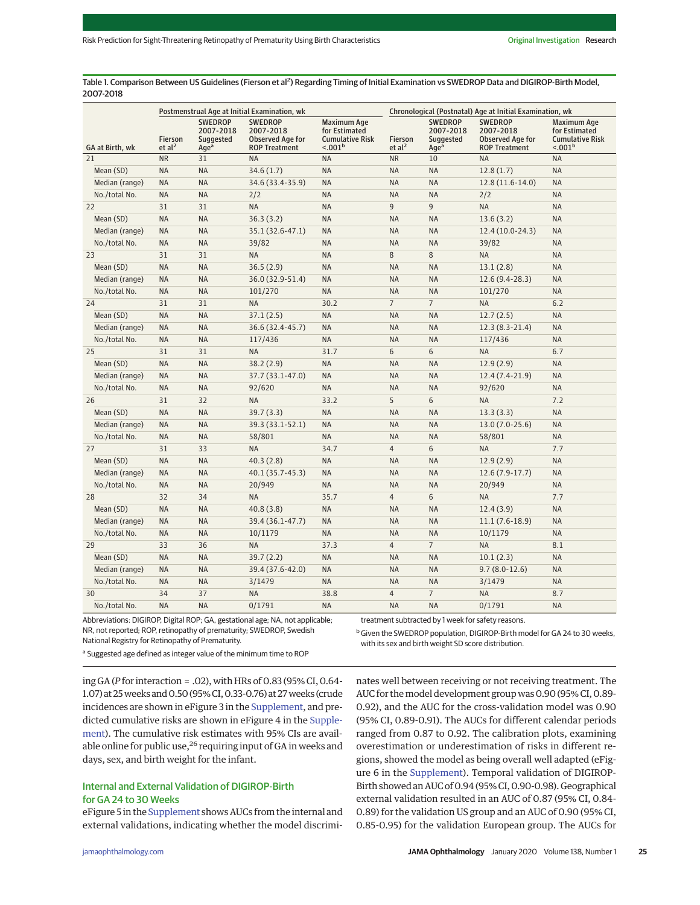Table 1. Comparison Between US Guidelines (Fierson et al<sup>2</sup>) Regarding Timing of Initial Examination vs SWEDROP Data and DIGIROP-Birth Model, 2007-2018

|                 | Postmenstrual Age at Initial Examination, wk |                                                              |                                                                         |                                                                                      | Chronological (Postnatal) Age at Initial Examination, wk |                                                              |                                                                         |                                                                               |
|-----------------|----------------------------------------------|--------------------------------------------------------------|-------------------------------------------------------------------------|--------------------------------------------------------------------------------------|----------------------------------------------------------|--------------------------------------------------------------|-------------------------------------------------------------------------|-------------------------------------------------------------------------------|
| GA at Birth, wk | Fierson<br>et al <sup>2</sup>                | <b>SWEDROP</b><br>2007-2018<br>Suggested<br>Age <sup>a</sup> | <b>SWEDROP</b><br>2007-2018<br>Observed Age for<br><b>ROP Treatment</b> | <b>Maximum Age</b><br>for Estimated<br><b>Cumulative Risk</b><br>< .001 <sup>b</sup> | Fierson<br>et al <sup>2</sup>                            | <b>SWEDROP</b><br>2007-2018<br>Suggested<br>Age <sup>a</sup> | <b>SWEDROP</b><br>2007-2018<br>Observed Age for<br><b>ROP Treatment</b> | Maximum Age<br>for Estimated<br><b>Cumulative Risk</b><br>< .001 <sup>b</sup> |
| 21              | <b>NR</b>                                    | 31                                                           | NA                                                                      | NA                                                                                   | <b>NR</b>                                                | 10                                                           | <b>NA</b>                                                               | <b>NA</b>                                                                     |
| Mean (SD)       | NA.                                          | NA                                                           | 34.6(1.7)                                                               | <b>NA</b>                                                                            | <b>NA</b>                                                | <b>NA</b>                                                    | 12.8(1.7)                                                               | <b>NA</b>                                                                     |
| Median (range)  | NA                                           | NA                                                           | 34.6 (33.4-35.9)                                                        | <b>NA</b>                                                                            | <b>NA</b>                                                | <b>NA</b>                                                    | 12.8 (11.6-14.0)                                                        | <b>NA</b>                                                                     |
| No./total No.   | NA                                           | NA                                                           | 2/2                                                                     | <b>NA</b>                                                                            | <b>NA</b>                                                | <b>NA</b>                                                    | 2/2                                                                     | <b>NA</b>                                                                     |
| 22              | 31                                           | 31                                                           | <b>NA</b>                                                               | <b>NA</b>                                                                            | 9                                                        | 9                                                            | <b>NA</b>                                                               | <b>NA</b>                                                                     |
| Mean (SD)       | <b>NA</b>                                    | <b>NA</b>                                                    | 36.3(3.2)                                                               | <b>NA</b>                                                                            | <b>NA</b>                                                | <b>NA</b>                                                    | 13.6(3.2)                                                               | <b>NA</b>                                                                     |
| Median (range)  | <b>NA</b>                                    | NA                                                           | 35.1 (32.6-47.1)                                                        | <b>NA</b>                                                                            | <b>NA</b>                                                | <b>NA</b>                                                    | $12.4(10.0-24.3)$                                                       | <b>NA</b>                                                                     |
| No./total No.   | <b>NA</b>                                    | NA                                                           | 39/82                                                                   | <b>NA</b>                                                                            | <b>NA</b>                                                | <b>NA</b>                                                    | 39/82                                                                   | <b>NA</b>                                                                     |
| 23              | 31                                           | 31                                                           | <b>NA</b>                                                               | <b>NA</b>                                                                            | $\,8\,$                                                  | 8                                                            | <b>NA</b>                                                               | <b>NA</b>                                                                     |
| Mean (SD)       | <b>NA</b>                                    | <b>NA</b>                                                    | 36.5(2.9)                                                               | <b>NA</b>                                                                            | <b>NA</b>                                                | <b>NA</b>                                                    | 13.1(2.8)                                                               | <b>NA</b>                                                                     |
| Median (range)  | <b>NA</b>                                    | <b>NA</b>                                                    | 36.0 (32.9-51.4)                                                        | <b>NA</b>                                                                            | <b>NA</b>                                                | <b>NA</b>                                                    | $12.6(9.4-28.3)$                                                        | <b>NA</b>                                                                     |
| No./total No.   | <b>NA</b>                                    | NA                                                           | 101/270                                                                 | <b>NA</b>                                                                            | <b>NA</b>                                                | <b>NA</b>                                                    | 101/270                                                                 | <b>NA</b>                                                                     |
| 24              | 31                                           | 31                                                           | <b>NA</b>                                                               | 30.2                                                                                 | $\overline{7}$                                           | $\overline{7}$                                               | <b>NA</b>                                                               | 6.2                                                                           |
| Mean (SD)       | <b>NA</b>                                    | <b>NA</b>                                                    | 37.1(2.5)                                                               | <b>NA</b>                                                                            | <b>NA</b>                                                | <b>NA</b>                                                    | 12.7(2.5)                                                               | <b>NA</b>                                                                     |
| Median (range)  | <b>NA</b>                                    | <b>NA</b>                                                    | 36.6 (32.4-45.7)                                                        | <b>NA</b>                                                                            | <b>NA</b>                                                | <b>NA</b>                                                    | $12.3(8.3-21.4)$                                                        | <b>NA</b>                                                                     |
| No./total No.   | <b>NA</b>                                    | NA                                                           | 117/436                                                                 | <b>NA</b>                                                                            | <b>NA</b>                                                | <b>NA</b>                                                    | 117/436                                                                 | <b>NA</b>                                                                     |
| 25              | 31                                           | 31                                                           | <b>NA</b>                                                               | 31.7                                                                                 | 6                                                        | 6                                                            | <b>NA</b>                                                               | 6.7                                                                           |
| Mean (SD)       | <b>NA</b>                                    | <b>NA</b>                                                    | 38.2(2.9)                                                               | <b>NA</b>                                                                            | <b>NA</b>                                                | <b>NA</b>                                                    | 12.9(2.9)                                                               | <b>NA</b>                                                                     |
| Median (range)  | <b>NA</b>                                    | <b>NA</b>                                                    | 37.7 (33.1-47.0)                                                        | <b>NA</b>                                                                            | <b>NA</b>                                                | <b>NA</b>                                                    | 12.4 (7.4-21.9)                                                         | <b>NA</b>                                                                     |
| No./total No.   | <b>NA</b>                                    | <b>NA</b>                                                    | 92/620                                                                  | <b>NA</b>                                                                            | <b>NA</b>                                                | <b>NA</b>                                                    | 92/620                                                                  | <b>NA</b>                                                                     |
| 26              | 31                                           | 32                                                           | <b>NA</b>                                                               | 33.2                                                                                 | 5                                                        | 6                                                            | <b>NA</b>                                                               | 7.2                                                                           |
| Mean (SD)       | <b>NA</b>                                    | <b>NA</b>                                                    | 39.7(3.3)                                                               | <b>NA</b>                                                                            | <b>NA</b>                                                | <b>NA</b>                                                    | 13.3(3.3)                                                               | <b>NA</b>                                                                     |
| Median (range)  | <b>NA</b>                                    | <b>NA</b>                                                    | 39.3 (33.1-52.1)                                                        | <b>NA</b>                                                                            | <b>NA</b>                                                | <b>NA</b>                                                    | $13.0(7.0-25.6)$                                                        | <b>NA</b>                                                                     |
| No./total No.   | NA                                           | NA                                                           | 58/801                                                                  | <b>NA</b>                                                                            | <b>NA</b>                                                | <b>NA</b>                                                    | 58/801                                                                  | <b>NA</b>                                                                     |
| 27              | 31                                           | 33                                                           | <b>NA</b>                                                               | 34.7                                                                                 | $\overline{4}$                                           | 6                                                            | <b>NA</b>                                                               | 7.7                                                                           |
| Mean (SD)       | <b>NA</b>                                    | <b>NA</b>                                                    | 40.3(2.8)                                                               | <b>NA</b>                                                                            | <b>NA</b>                                                | <b>NA</b>                                                    | 12.9(2.9)                                                               | <b>NA</b>                                                                     |
| Median (range)  | <b>NA</b>                                    | <b>NA</b>                                                    | 40.1 (35.7-45.3)                                                        | <b>NA</b>                                                                            | <b>NA</b>                                                | <b>NA</b>                                                    | $12.6(7.9-17.7)$                                                        | <b>NA</b>                                                                     |
| No./total No.   | <b>NA</b>                                    | <b>NA</b>                                                    | 20/949                                                                  | <b>NA</b>                                                                            | <b>NA</b>                                                | <b>NA</b>                                                    | 20/949                                                                  | <b>NA</b>                                                                     |
| 28              | 32                                           | 34                                                           | <b>NA</b>                                                               | 35.7                                                                                 | $\overline{4}$                                           | 6                                                            | <b>NA</b>                                                               | 7.7                                                                           |
| Mean (SD)       | <b>NA</b>                                    | <b>NA</b>                                                    | 40.8(3.8)                                                               | <b>NA</b>                                                                            | <b>NA</b>                                                | <b>NA</b>                                                    | 12.4(3.9)                                                               | <b>NA</b>                                                                     |
| Median (range)  | <b>NA</b>                                    | <b>NA</b>                                                    | 39.4 (36.1-47.7)                                                        | <b>NA</b>                                                                            | <b>NA</b>                                                | <b>NA</b>                                                    | $11.1(7.6-18.9)$                                                        | <b>NA</b>                                                                     |
| No./total No.   | <b>NA</b>                                    | <b>NA</b>                                                    | 10/1179                                                                 | <b>NA</b>                                                                            | <b>NA</b>                                                | <b>NA</b>                                                    | 10/1179                                                                 | <b>NA</b>                                                                     |
| 29              | 33                                           | 36                                                           | <b>NA</b>                                                               | 37.3                                                                                 | $\overline{4}$                                           | $\overline{7}$                                               | <b>NA</b>                                                               | 8.1                                                                           |
| Mean (SD)       | <b>NA</b>                                    | <b>NA</b>                                                    | 39.7(2.2)                                                               | <b>NA</b>                                                                            | <b>NA</b>                                                | <b>NA</b>                                                    | 10.1(2.3)                                                               | <b>NA</b>                                                                     |
| Median (range)  | <b>NA</b>                                    | <b>NA</b>                                                    | 39.4 (37.6-42.0)                                                        | <b>NA</b>                                                                            | <b>NA</b>                                                | <b>NA</b>                                                    | $9.7(8.0-12.6)$                                                         | <b>NA</b>                                                                     |
| No./total No.   | <b>NA</b>                                    | <b>NA</b>                                                    | 3/1479                                                                  | <b>NA</b>                                                                            | <b>NA</b>                                                | <b>NA</b>                                                    | 3/1479                                                                  | <b>NA</b>                                                                     |
| 30              | 34                                           | 37                                                           | <b>NA</b>                                                               | 38.8                                                                                 | $\overline{4}$                                           | $\overline{7}$                                               | <b>NA</b>                                                               | 8.7                                                                           |
| No./total No.   | <b>NA</b>                                    | <b>NA</b>                                                    | 0/1791                                                                  | <b>NA</b>                                                                            | <b>NA</b>                                                | <b>NA</b>                                                    | 0/1791                                                                  | <b>NA</b>                                                                     |
|                 |                                              |                                                              |                                                                         |                                                                                      |                                                          |                                                              |                                                                         |                                                                               |

Abbreviations: DIGIROP, Digital ROP; GA, gestational age; NA, not applicable; NR, not reported; ROP, retinopathy of prematurity; SWEDROP, Swedish National Registry for Retinopathy of Prematurity.

treatment subtracted by 1 week for safety reasons.

<sup>b</sup> Given the SWEDROP population, DIGIROP-Birth model for GA 24 to 30 weeks,

with its sex and birth weight SD score distribution.

a Suggested age defined as integer value of the minimum time to ROP

ing GA (*P*for interaction = .02), with HRs of 0.83 (95% CI, 0.64- 1.07) at 25 weeks and 0.50 (95% CI, 0.33-0.76) at 27 weeks (crude incidences are shown in eFigure 3 in the [Supplement,](https://jamanetwork.com/journals/jama/fullarticle/10.1001/jamaophthalmol.2019.4502?utm_campaign=articlePDF%26utm_medium=articlePDFlink%26utm_source=articlePDF%26utm_content=jamaophthalmol.2019.4502) and predicted cumulative risks are shown in eFigure 4 in the [Supple](https://jamanetwork.com/journals/jama/fullarticle/10.1001/jamaophthalmol.2019.4502?utm_campaign=articlePDF%26utm_medium=articlePDFlink%26utm_source=articlePDF%26utm_content=jamaophthalmol.2019.4502)[ment\)](https://jamanetwork.com/journals/jama/fullarticle/10.1001/jamaophthalmol.2019.4502?utm_campaign=articlePDF%26utm_medium=articlePDFlink%26utm_source=articlePDF%26utm_content=jamaophthalmol.2019.4502). The cumulative risk estimates with 95% CIs are available online for public use,<sup>26</sup> requiring input of GA in weeks and days, sex, and birth weight for the infant.

# Internal and External Validation of DIGIROP-Birth for GA 24 to 30 Weeks

eFigure 5 in the [Supplement](https://jamanetwork.com/journals/jama/fullarticle/10.1001/jamaophthalmol.2019.4502?utm_campaign=articlePDF%26utm_medium=articlePDFlink%26utm_source=articlePDF%26utm_content=jamaophthalmol.2019.4502) shows AUCs from the internal and external validations, indicating whether the model discriminates well between receiving or not receiving treatment. The AUC for themodel development group was 0.90 (95% CI, 0.89- 0.92), and the AUC for the cross-validation model was 0.90 (95% CI, 0.89-0.91). The AUCs for different calendar periods ranged from 0.87 to 0.92. The calibration plots, examining overestimation or underestimation of risks in different regions, showed the model as being overall well adapted (eFigure 6 in the [Supplement\)](https://jamanetwork.com/journals/jama/fullarticle/10.1001/jamaophthalmol.2019.4502?utm_campaign=articlePDF%26utm_medium=articlePDFlink%26utm_source=articlePDF%26utm_content=jamaophthalmol.2019.4502). Temporal validation of DIGIROP-Birth showed an AUC of 0.94 (95% CI, 0.90-0.98). Geographical external validation resulted in an AUC of 0.87 (95% CI, 0.84- 0.89) for the validation US group and an AUC of 0.90 (95% CI, 0.85-0.95) for the validation European group. The AUCs for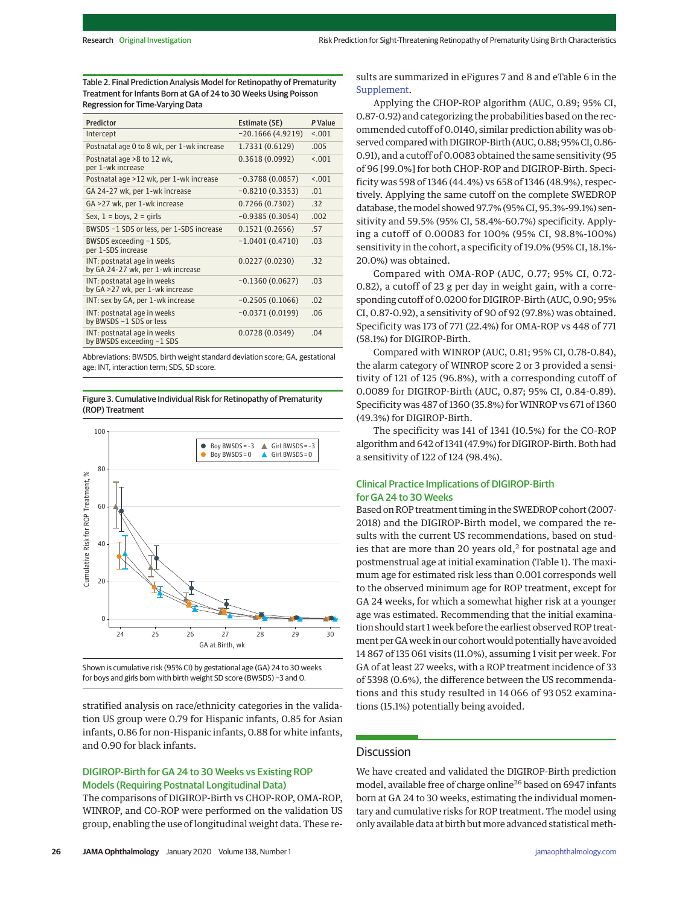Table 2. Final Prediction Analysis Model for Retinopathy of Prematurity Treatment for Infants Born at GA of 24 to 30 Weeks Using Poisson Regression for Time-Varying Data

| Predictor                                                        | Estimate (SE)      | P Value |
|------------------------------------------------------------------|--------------------|---------|
| Intercept                                                        | $-20.1666(4.9219)$ | < 0.01  |
| Postnatal age 0 to 8 wk, per 1-wk increase                       | 1.7331 (0.6129)    | .005    |
| Postnatal age >8 to 12 wk,<br>per 1-wk increase                  | 0.3618(0.0992)     | < 0.01  |
| Postnatal age >12 wk, per 1-wk increase                          | $-0.3788(0.0857)$  | < 0.01  |
| GA 24-27 wk, per 1-wk increase                                   | $-0.8210(0.3353)$  | .01     |
| GA >27 wk, per 1-wk increase                                     | 0.7266 (0.7302)    | .32     |
| Sex, $1 = boys$ , $2 = girls$                                    | $-0.9385(0.3054)$  | .002    |
| BWSDS -1 SDS or less, per 1-SDS increase                         | 0.1521(0.2656)     | .57     |
| BWSDS exceeding -1 SDS,<br>per 1-SDS increase                    | $-1.0401(0.4710)$  | .03     |
| INT: postnatal age in weeks<br>by GA 24-27 wk, per 1-wk increase | 0.0227(0.0230)     | .32     |
| INT: postnatal age in weeks<br>by GA >27 wk, per 1-wk increase   | $-0.1360(0.0627)$  | .03     |
| INT: sex by GA, per 1-wk increase                                | $-0.2505(0.1066)$  | .02     |
| INT: postnatal age in weeks<br>by BWSDS -1 SDS or less           | $-0.0371(0.0199)$  | .06     |
| INT: postnatal age in weeks<br>by BWSDS exceeding -1 SDS         | 0.0728(0.0349)     | .04     |

Abbreviations: BWSDS, birth weight standard deviation score; GA, gestational age; INT, interaction term; SDS, SD score.

Figure 3. Cumulative Individual Risk for Retinopathy of Prematurity (ROP) Treatment



Shown is cumulative risk (95% CI) by gestational age (GA) 24 to 30 weeks for boys and girls born with birth weight SD score (BWSDS) −3 and 0.

stratified analysis on race/ethnicity categories in the validation US group were 0.79 for Hispanic infants, 0.85 for Asian infants, 0.86 for non-Hispanic infants, 0.88 for white infants, and 0.90 for black infants.

# DIGIROP-Birth for GA 24 to 30 Weeks vs Existing ROP Models (Requiring Postnatal Longitudinal Data)

The comparisons of DIGIROP-Birth vs CHOP-ROP, OMA-ROP, WINROP, and CO-ROP were performed on the validation US group, enabling the use of longitudinal weight data. These re-

Applying the CHOP-ROP algorithm (AUC, 0.89; 95% CI, 0.87-0.92) and categorizing the probabilities based on the recommended cutoff of 0.0140, similar prediction ability was observed compared with DIGIROP-Birth (AUC, 0.88; 95% CI, 0.86-0.91), and a cutoff of 0.0083 obtained the same sensitivity (95 of 96 [99.0%] for both CHOP-ROP and DIGIROP-Birth. Specificity was 598 of 1346 (44.4%) vs 658 of 1346 (48.9%), respectively. Applying the same cutoff on the complete SWEDROP database, themodel showed 97.7% (95% CI, 95.3%-99.1%) sensitivity and 59.5% (95% CI, 58.4%-60.7%) specificity. Applying a cutoff of 0.00083 for 100% (95% CI, 98.8%-100%) sensitivity in the cohort, a specificity of 19.0% (95% CI, 18.1%- 20.0%) was obtained.

Compared with OMA-ROP (AUC, 0.77; 95% CI, 0.72- 0.82), a cutoff of 23 g per day in weight gain, with a corresponding cutoff of 0.0200 for DIGIROP-Birth (AUC, 0.90; 95% CI, 0.87-0.92), a sensitivity of 90 of 92 (97.8%) was obtained. Specificity was 173 of 771 (22.4%) for OMA-ROP vs 448 of 771 (58.1%) for DIGIROP-Birth.

Compared with WINROP (AUC, 0.81; 95% CI, 0.78-0.84), the alarm category of WINROP score 2 or 3 provided a sensitivity of 121 of 125 (96.8%), with a corresponding cutoff of 0.0089 for DIGIROP-Birth (AUC, 0.87; 95% CI, 0.84-0.89). Specificity was 487 of 1360 (35.8%) for WINROP vs 671 of 1360 (49.3%) for DIGIROP-Birth.

The specificity was 141 of 1341 (10.5%) for the CO-ROP algorithm and 642 of 1341 (47.9%) for DIGIROP-Birth. Both had a sensitivity of 122 of 124 (98.4%).

# Clinical Practice Implications of DIGIROP-Birth for GA 24 to 30 Weeks

Based on ROP treatment timing in the SWEDROP cohort (2007- 2018) and the DIGIROP-Birth model, we compared the results with the current US recommendations, based on studies that are more than 20 years old, $<sup>2</sup>$  for postnatal age and</sup> postmenstrual age at initial examination (Table 1). The maximum age for estimated risk less than 0.001 corresponds well to the observed minimum age for ROP treatment, except for GA 24 weeks, for which a somewhat higher risk at a younger age was estimated. Recommending that the initial examination should start 1 week before the earliest observed ROP treatment per GAweek in our cohortwould potentially have avoided 14 867 of 135 061 visits (11.0%), assuming 1 visit per week. For GA of at least 27 weeks, with a ROP treatment incidence of 33 of 5398 (0.6%), the difference between the US recommendations and this study resulted in 14 066 of 93 052 examinations (15.1%) potentially being avoided.

# **Discussion**

We have created and validated the DIGIROP-Birth prediction model, available free of charge online<sup>26</sup> based on 6947 infants born at GA 24 to 30 weeks, estimating the individual momentary and cumulative risks for ROP treatment. The model using only available data at birth but more advanced statistical meth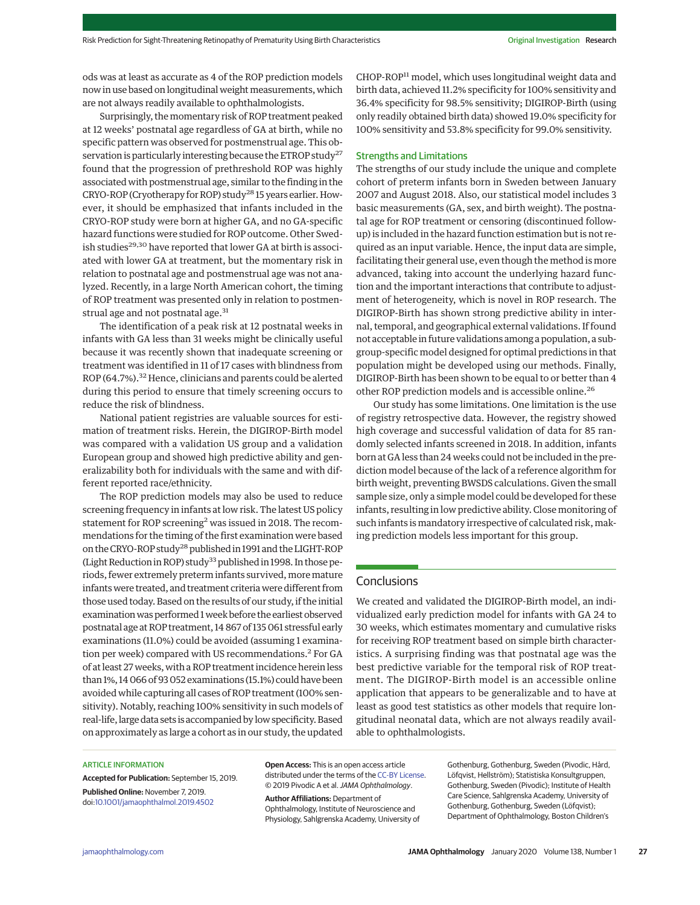ods was at least as accurate as 4 of the ROP prediction models now in use based on longitudinal weight measurements, which are not always readily available to ophthalmologists.

Surprisingly, themomentary risk of ROP treatment peaked at 12 weeks' postnatal age regardless of GA at birth, while no specific pattern was observed for postmenstrual age. This observation is particularly interesting because the ETROP study<sup>27</sup> found that the progression of prethreshold ROP was highly associated with postmenstrual age, similar to the finding in the CRYO-ROP (Cryotherapy for ROP) study28 15 years earlier. However, it should be emphasized that infants included in the CRYO-ROP study were born at higher GA, and no GA-specific hazard functions were studied for ROP outcome. Other Swedish studies<sup>29,30</sup> have reported that lower GA at birth is associated with lower GA at treatment, but the momentary risk in relation to postnatal age and postmenstrual age was not analyzed. Recently, in a large North American cohort, the timing of ROP treatment was presented only in relation to postmenstrual age and not postnatal age.<sup>31</sup>

The identification of a peak risk at 12 postnatal weeks in infants with GA less than 31 weeks might be clinically useful because it was recently shown that inadequate screening or treatment was identified in 11 of 17 cases with blindness from ROP (64.7%).<sup>32</sup> Hence, clinicians and parents could be alerted during this period to ensure that timely screening occurs to reduce the risk of blindness.

National patient registries are valuable sources for estimation of treatment risks. Herein, the DIGIROP-Birth model was compared with a validation US group and a validation European group and showed high predictive ability and generalizability both for individuals with the same and with different reported race/ethnicity.

The ROP prediction models may also be used to reduce screening frequency in infants at low risk. The latest US policy statement for ROP screening<sup>2</sup> was issued in 2018. The recommendations for the timing of the first examination were based on the CRYO-ROP study<sup>28</sup> published in 1991 and the LIGHT-ROP (Light Reduction in ROP) study<sup>33</sup> published in 1998. In those periods, fewer extremely preterm infants survived, more mature infants were treated, and treatment criteria were different from those used today. Based on the results of our study, if the initial examination was performed 1 week before the earliest observed postnatal age at ROP treatment, 14 867 of 135 061 stressful early examinations (11.0%) could be avoided (assuming 1 examination per week) compared with US recommendations.<sup>2</sup> For GA of at least 27 weeks, with a ROP treatment incidence herein less than 1%, 14 066 of 93 052 examinations (15.1%) could have been avoided while capturing all cases of ROP treatment (100% sensitivity). Notably, reaching 100% sensitivity in such models of real-life, large data sets is accompanied by low specificity. Based on approximately as large a cohort as in our study, the updated

CHOP-ROP<sup>11</sup> model, which uses longitudinal weight data and birth data, achieved 11.2% specificity for 100% sensitivity and 36.4% specificity for 98.5% sensitivity; DIGIROP-Birth (using only readily obtained birth data) showed 19.0% specificity for 100% sensitivity and 53.8% specificity for 99.0% sensitivity.

### Strengths and Limitations

The strengths of our study include the unique and complete cohort of preterm infants born in Sweden between January 2007 and August 2018. Also, our statistical model includes 3 basic measurements (GA, sex, and birth weight). The postnatal age for ROP treatment or censoring (discontinued followup) is included in the hazard function estimation but is not required as an input variable. Hence, the input data are simple, facilitating their general use, even though the method is more advanced, taking into account the underlying hazard function and the important interactions that contribute to adjustment of heterogeneity, which is novel in ROP research. The DIGIROP-Birth has shown strong predictive ability in internal, temporal, and geographical external validations. If found not acceptable in future validations among a population, a subgroup-specific model designed for optimal predictions in that population might be developed using our methods. Finally, DIGIROP-Birth has been shown to be equal to or better than 4 other ROP prediction models and is accessible online.<sup>26</sup>

Our study has some limitations. One limitation is the use of registry retrospective data. However, the registry showed high coverage and successful validation of data for 85 randomly selected infants screened in 2018. In addition, infants born at GA less than 24 weeks could not be included in the prediction model because of the lack of a reference algorithm for birth weight, preventing BWSDS calculations. Given the small sample size, only a simple model could be developed for these infants, resulting in low predictive ability. Close monitoring of such infants is mandatory irrespective of calculated risk, making prediction models less important for this group.

# **Conclusions**

We created and validated the DIGIROP-Birth model, an individualized early prediction model for infants with GA 24 to 30 weeks, which estimates momentary and cumulative risks for receiving ROP treatment based on simple birth characteristics. A surprising finding was that postnatal age was the best predictive variable for the temporal risk of ROP treatment. The DIGIROP-Birth model is an accessible online application that appears to be generalizable and to have at least as good test statistics as other models that require longitudinal neonatal data, which are not always readily available to ophthalmologists.

#### ARTICLE INFORMATION

**Accepted for Publication:** September 15, 2019. **Published Online:** November 7, 2019. doi[:10.1001/jamaophthalmol.2019.4502](https://jamanetwork.com/journals/jama/fullarticle/10.1001/jamaophthalmol.2019.4502?utm_campaign=articlePDF%26utm_medium=articlePDFlink%26utm_source=articlePDF%26utm_content=jamaophthalmol.2019.4502)

**Open Access:** This is an open access article distributed under the terms of the [CC-BY License.](https://jamanetwork.com/journals/jamaophthalmology/pages/instructions-for-authors?utm_campaign=articlePDF%26utm_medium=articlePDFlink%26utm_source=articlePDF%26utm_content=jamaophthalmol.2019.4502#SecOpenAccess) © 2019 Pivodic A et al.JAMA Ophthalmology.

**Author Affiliations:** Department of Ophthalmology, Institute of Neuroscience and Physiology, Sahlgrenska Academy, University of

Gothenburg, Gothenburg, Sweden (Pivodic, Hård, Löfqvist, Hellström); Statistiska Konsultgruppen, Gothenburg, Sweden (Pivodic); Institute of Health Care Science, Sahlgrenska Academy, University of Gothenburg, Gothenburg, Sweden (Löfqvist); Department of Ophthalmology, Boston Children's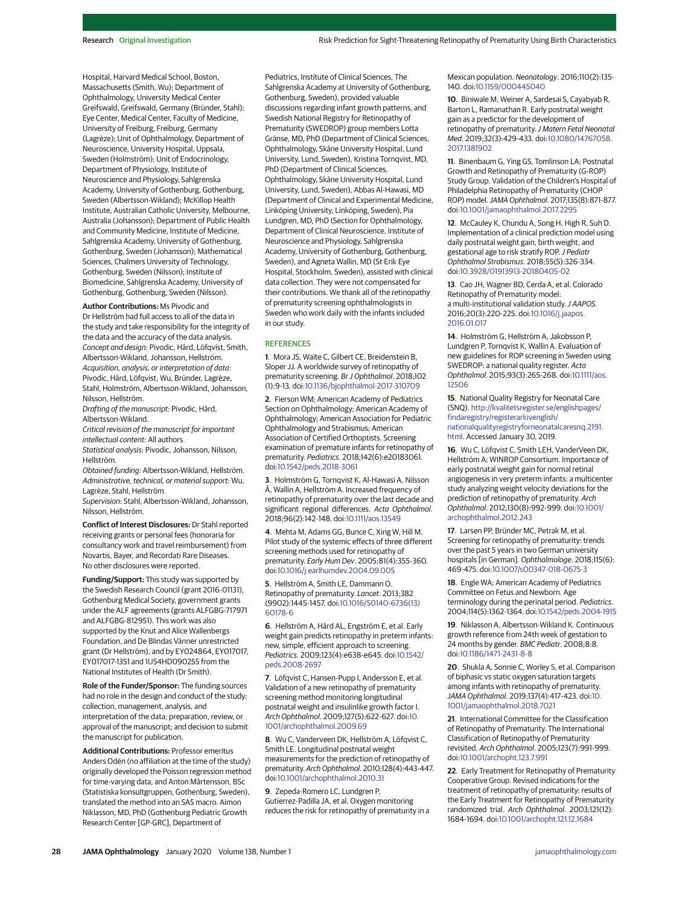Hospital, Harvard Medical School, Boston, Massachusetts (Smith, Wu); Department of Ophthalmology, University Medical Center Greifswald, Greifswald, Germany (Bründer, Stahl); Eye Center, Medical Center, Faculty of Medicine, University of Freiburg, Freiburg, Germany (Lagrèze); Unit of Ophthalmology, Department of Neuroscience, University Hospital, Uppsala, Sweden (Holmström); Unit of Endocrinology, Department of Physiology, Institute of Neuroscience and Physiology, Sahlgrenska Academy, University of Gothenburg, Gothenburg, Sweden (Albertsson-Wikland); McKillop Health Institute, Australian Catholic University, Melbourne, Australia (Johansson); Department of Public Health and Community Medicine, Institute of Medicine, Sahlgrenska Academy, University of Gothenburg, Gothenburg, Sweden (Johansson); Mathematical Sciences, Chalmers University of Technology, Gothenburg, Sweden (Nilsson); Institute of Biomedicine, Sahlgrenska Academy, University of Gothenburg, Gothenburg, Sweden (Nilsson).

**Author Contributions:** Ms Pivodic and Dr Hellström had full access to all of the data in the study and take responsibility for the integrity of the data and the accuracy of the data analysis. Concept and design: Pivodic, Hård, Löfqvist, Smith, Albertsson-Wikland, Johansson, Hellström. Acquisition, analysis, or interpretation of data: Pivodic, Hård, Löfqvist, Wu, Bründer, Lagrèze, Stahl, Holmström, Albertsson-Wikland, Johansson, Nilsson, Hellström.

Drafting of the manuscript: Pivodic, Hård, Albertsson-Wikland.

Critical revision of the manuscript for important intellectual content: All authors.

Statistical analysis: Pivodic, Johansson, Nilsson, Hellström.

Obtained funding: Albertsson-Wikland, Hellström. Administrative, technical, or material support: Wu, Lagrèze, Stahl, Hellström.

Supervision: Stahl, Albertsson-Wikland, Johansson, Nilsson, Hellström.

**Conflict of Interest Disclosures:** Dr Stahl reported receiving grants or personal fees (honoraria for consultancy work and travel reimbursement) from Novartis, Bayer, and Recordati Rare Diseases. No other disclosures were reported.

**Funding/Support:** This study was supported by the Swedish Research Council (grant 2016-01131), Gothenburg Medical Society, government grants under the ALF agreements (grants ALFGBG-717971 and ALFGBG-812951). This work was also supported by the Knut and Alice Wallenbergs Foundation, and De Blindas Vänner unrestricted grant (Dr Hellström), and by EY024864, EY017017, EY017017-13S1 and 1U54HD090255 from the National Institutes of Health (Dr Smith).

**Role of the Funder/Sponsor:** The funding sources had no role in the design and conduct of the study; collection, management, analysis, and interpretation of the data; preparation, review, or approval of the manuscript; and decision to submit the manuscript for publication.

**Additional Contributions:** Professor emeritus Anders Odén (no affiliation at the time of the study) originally developed the Poisson regression method for time-varying data, and Anton Mårtensson, BSc (Statistiska konsultgruppen, Gothenburg, Sweden), translated the method into an SAS macro. Aimon Niklasson, MD, PhD (Gothenburg Pediatric Growth Research Center [GP-GRC], Department of

Pediatrics, Institute of Clinical Sciences, The Sahlgrenska Academy at University of Gothenburg, Gothenburg, Sweden), provided valuable discussions regarding infant growth patterns, and Swedish National Registry for Retinopathy of Prematurity (SWEDROP) group members Lotta Gränse, MD, PhD (Department of Clinical Sciences, Ophthalmology, Skåne University Hospital, Lund University, Lund, Sweden), Kristina Tornqvist, MD, PhD (Department of Clinical Sciences, Ophthalmology, Skåne University Hospital, Lund University, Lund, Sweden), Abbas Al-Hawasi, MD (Department of Clinical and Experimental Medicine, Linköping University, Linköping, Sweden), Pia Lundgren, MD, PhD (Section for Ophthalmology, Department of Clinical Neuroscience, Institute of Neuroscience and Physiology, Sahlgrenska Academy, University of Gothenburg, Gothenburg, Sweden), and Agneta Wallin, MD (St Erik Eye Hospital, Stockholm, Sweden), assisted with clinical data collection. They were not compensated for their contributions. We thank all of the retinopathy of prematurity screening ophthalmologists in Sweden who work daily with the infants included in our study.

#### **REFERENCES**

**1**. Mora JS, Waite C, Gilbert CE, Breidenstein B, Sloper JJ. A worldwide survey of retinopathy of prematurity screening. Br J Ophthalmol. 2018;102 (1):9-13. doi[:10.1136/bjophthalmol-2017-310709](https://dx.doi.org/10.1136/bjophthalmol-2017-310709)

**2**. Fierson WM; American Academy of Pediatrics Section on Ophthalmology; American Academy of Ophthalmology; American Association for Pediatric Ophthalmology and Strabismus; American Association of Certified Orthoptists. Screening examination of premature infants for retinopathy of prematurity. Pediatrics. 2018;142(6):e20183061. doi[:10.1542/peds.2018-3061](https://dx.doi.org/10.1542/peds.2018-3061)

**3**. Holmström G, Tornqvist K, Al-Hawasi A, Nilsson Å, Wallin A, Hellström A. Increased frequency of retinopathy of prematurity over the last decade and significant regional differences. Acta Ophthalmol. 2018;96(2):142-148. doi[:10.1111/aos.13549](https://dx.doi.org/10.1111/aos.13549)

**4**. Mehta M, Adams GG, Bunce C, Xing W, Hill M. Pilot study of the systemic effects of three different screening methods used for retinopathy of prematurity. Early Hum Dev. 2005;81(4):355-360. doi[:10.1016/j.earlhumdev.2004.09.005](https://dx.doi.org/10.1016/j.earlhumdev.2004.09.005)

**5**. Hellström A, Smith LE, Dammann O. Retinopathy of prematurity. Lancet. 2013;382 (9902):1445-1457. doi[:10.1016/S0140-6736\(13\)](https://dx.doi.org/10.1016/S0140-6736(13)60178-6) [60178-6](https://dx.doi.org/10.1016/S0140-6736(13)60178-6)

**6**. Hellström A, Hård AL, Engström E, et al. Early weight gain predicts retinopathy in preterm infants: new, simple, efficient approach to screening. Pediatrics. 2009;123(4):e638-e645. doi[:10.1542/](https://dx.doi.org/10.1542/peds.2008-2697) [peds.2008-2697](https://dx.doi.org/10.1542/peds.2008-2697)

**7**. Löfqvist C, Hansen-Pupp I, Andersson E, et al. Validation of a new retinopathy of prematurity screening method monitoring longitudinal postnatal weight and insulinlike growth factor I. Arch Ophthalmol. 2009;127(5):622-627. doi[:10.](https://jamanetwork.com/journals/jama/fullarticle/10.1001/archophthalmol.2009.69?utm_campaign=articlePDF%26utm_medium=articlePDFlink%26utm_source=articlePDF%26utm_content=jamaophthalmol.2019.4502) [1001/archophthalmol.2009.69](https://jamanetwork.com/journals/jama/fullarticle/10.1001/archophthalmol.2009.69?utm_campaign=articlePDF%26utm_medium=articlePDFlink%26utm_source=articlePDF%26utm_content=jamaophthalmol.2019.4502)

**8**. Wu C, Vanderveen DK, Hellström A, Löfqvist C, Smith LE. Longitudinal postnatal weight measurements for the prediction of retinopathy of prematurity. Arch Ophthalmol. 2010;128(4):443-447. doi[:10.1001/archophthalmol.2010.31](https://jamanetwork.com/journals/jama/fullarticle/10.1001/archophthalmol.2010.31?utm_campaign=articlePDF%26utm_medium=articlePDFlink%26utm_source=articlePDF%26utm_content=jamaophthalmol.2019.4502)

**9**. Zepeda-Romero LC, Lundgren P, Gutierrez-Padilla JA, et al. Oxygen monitoring reduces the risk for retinopathy of prematurity in a Mexican population. Neonatology. 2016;110(2):135- 140. doi[:10.1159/000445040](https://dx.doi.org/10.1159/000445040)

**10**. Biniwale M, Weiner A, Sardesai S, Cayabyab R, Barton L, Ramanathan R. Early postnatal weight gain as a predictor for the development of retinopathy of prematurity. J Matern Fetal Neonatal Med. 2019;32(3):429-433. doi[:10.1080/14767058.](https://dx.doi.org/10.1080/14767058.2017.1381902) [2017.1381902](https://dx.doi.org/10.1080/14767058.2017.1381902)

**11**. Binenbaum G, Ying GS, Tomlinson LA; Postnatal Growth and Retinopathy of Prematurity (G-ROP) Study Group. Validation of the Children's Hospital of Philadelphia Retinopathy of Prematurity (CHOP ROP) model.JAMA Ophthalmol. 2017;135(8):871-877. doi[:10.1001/jamaophthalmol.2017.2295](https://jamanetwork.com/journals/jama/fullarticle/10.1001/jamaophthalmol.2017.2295?utm_campaign=articlePDF%26utm_medium=articlePDFlink%26utm_source=articlePDF%26utm_content=jamaophthalmol.2019.4502)

**12**. McCauley K, Chundu A, Song H, High R, Suh D. Implementation of a clinical prediction model using daily postnatal weight gain, birth weight, and gestational age to risk stratify ROP.J Pediatr Ophthalmol Strabismus. 2018;55(5):326-334. doi[:10.3928/01913913-20180405-02](https://dx.doi.org/10.3928/01913913-20180405-02)

**13**. Cao JH, Wagner BD, Cerda A, et al. Colorado Retinopathy of Prematurity model: a multi-institutional validation study. J AAPOS. 2016;20(3):220-225. doi[:10.1016/j.jaapos.](https://dx.doi.org/10.1016/j.jaapos.2016.01.017) [2016.01.017](https://dx.doi.org/10.1016/j.jaapos.2016.01.017)

**14**. Holmström G, Hellström A, Jakobsson P, Lundgren P, Tornqvist K, Wallin A. Evaluation of new guidelines for ROP screening in Sweden using SWEDROP: a national quality register. Acta Ophthalmol. 2015;93(3):265-268. doi[:10.1111/aos.](https://dx.doi.org/10.1111/aos.12506) [12506](https://dx.doi.org/10.1111/aos.12506)

**15**. National Quality Registry for Neonatal Care (SNQ). [http://kvalitetsregister.se/englishpages/](http://kvalitetsregister.se/englishpages/findaregistry/registerarkivenglish/nationalqualityregistryforneonatalcaresnq.2191.html) [findaregistry/registerarkivenglish/](http://kvalitetsregister.se/englishpages/findaregistry/registerarkivenglish/nationalqualityregistryforneonatalcaresnq.2191.html) [nationalqualityregistryforneonatalcaresnq.2191.](http://kvalitetsregister.se/englishpages/findaregistry/registerarkivenglish/nationalqualityregistryforneonatalcaresnq.2191.html) [html.](http://kvalitetsregister.se/englishpages/findaregistry/registerarkivenglish/nationalqualityregistryforneonatalcaresnq.2191.html) Accessed January 30, 2019.

**16**. Wu C, Löfqvist C, Smith LEH, VanderVeen DK, Hellström A; WINROP Consortium. Importance of early postnatal weight gain for normal retinal angiogenesis in very preterm infants: a multicenter study analyzing weight velocity deviations for the prediction of retinopathy of prematurity. Arch Ophthalmol. 2012;130(8):992-999. doi[:10.1001/](https://jamanetwork.com/journals/jama/fullarticle/10.1001/archophthalmol.2012.243?utm_campaign=articlePDF%26utm_medium=articlePDFlink%26utm_source=articlePDF%26utm_content=jamaophthalmol.2019.4502) [archophthalmol.2012.243](https://jamanetwork.com/journals/jama/fullarticle/10.1001/archophthalmol.2012.243?utm_campaign=articlePDF%26utm_medium=articlePDFlink%26utm_source=articlePDF%26utm_content=jamaophthalmol.2019.4502)

**17**. Larsen PP, Bründer MC, Petrak M, et al. Screening for retinopathy of prematurity: trends over the past 5 years in two German university hospitals [in German]. Ophthalmologe. 2018;115(6): 469-475. doi[:10.1007/s00347-018-0675-3](https://dx.doi.org/10.1007/s00347-018-0675-3)

**18**. Engle WA; American Academy of Pediatrics Committee on Fetus and Newborn. Age terminology during the perinatal period. Pediatrics. 2004;114(5):1362-1364. doi[:10.1542/peds.2004-1915](https://dx.doi.org/10.1542/peds.2004-1915)

**19**. Niklasson A, Albertsson-Wikland K. Continuous growth reference from 24th week of gestation to 24 months by gender. BMC Pediatr. 2008;8:8. doi[:10.1186/1471-2431-8-8](https://dx.doi.org/10.1186/1471-2431-8-8)

**20**. Shukla A, Sonnie C, Worley S, et al. Comparison of biphasic vs static oxygen saturation targets among infants with retinopathy of prematurity. JAMA Ophthalmol. 2019;137(4):417-423. doi[:10.](https://jamanetwork.com/journals/jama/fullarticle/10.1001/jamaophthalmol.2018.7021?utm_campaign=articlePDF%26utm_medium=articlePDFlink%26utm_source=articlePDF%26utm_content=jamaophthalmol.2019.4502) [1001/jamaophthalmol.2018.7021](https://jamanetwork.com/journals/jama/fullarticle/10.1001/jamaophthalmol.2018.7021?utm_campaign=articlePDF%26utm_medium=articlePDFlink%26utm_source=articlePDF%26utm_content=jamaophthalmol.2019.4502)

**21**. International Committee for the Classification of Retinopathy of Prematurity. The International Classification of Retinopathy of Prematurity revisited. Arch Ophthalmol. 2005;123(7):991-999. doi[:10.1001/archopht.123.7.991](https://jamanetwork.com/journals/jama/fullarticle/10.1001/archopht.123.7.991?utm_campaign=articlePDF%26utm_medium=articlePDFlink%26utm_source=articlePDF%26utm_content=jamaophthalmol.2019.4502)

**22**. Early Treatment for Retinopathy of Prematurity Cooperative Group. Revised indications for the treatment of retinopathy of prematurity: results of the Early Treatment for Retinopathy of Prematurity randomized trial. Arch Ophthalmol. 2003;121(12): 1684-1694. doi[:10.1001/archopht.121.12.1684](https://jamanetwork.com/journals/jama/fullarticle/10.1001/archopht.121.12.1684?utm_campaign=articlePDF%26utm_medium=articlePDFlink%26utm_source=articlePDF%26utm_content=jamaophthalmol.2019.4502)